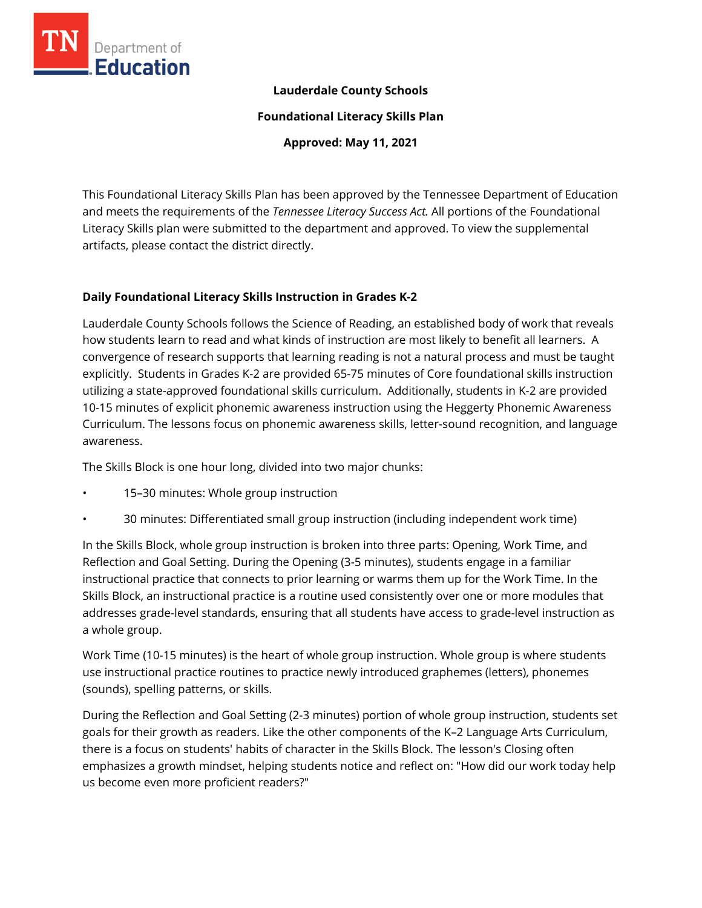

### **Lauderdale County Schools**

**Foundational Literacy Skills Plan**

**Approved: May 11, 2021**

This Foundational Literacy Skills Plan has been approved by the Tennessee Department of Education and meets the requirements of the *Tennessee Literacy Success Act.* All portions of the Foundational Literacy Skills plan were submitted to the department and approved. To view the supplemental artifacts, please contact the district directly.

#### **Daily Foundational Literacy Skills Instruction in Grades K-2**

Lauderdale County Schools follows the Science of Reading, an established body of work that reveals how students learn to read and what kinds of instruction are most likely to benefit all learners. A convergence of research supports that learning reading is not a natural process and must be taught explicitly. Students in Grades K-2 are provided 65-75 minutes of Core foundational skills instruction utilizing a state-approved foundational skills curriculum. Additionally, students in K-2 are provided 10-15 minutes of explicit phonemic awareness instruction using the Heggerty Phonemic Awareness Curriculum. The lessons focus on phonemic awareness skills, letter-sound recognition, and language awareness.

The Skills Block is one hour long, divided into two major chunks:

- 15–30 minutes: Whole group instruction
- 30 minutes: Differentiated small group instruction (including independent work time)

In the Skills Block, whole group instruction is broken into three parts: Opening, Work Time, and Reflection and Goal Setting. During the Opening (3-5 minutes), students engage in a familiar instructional practice that connects to prior learning or warms them up for the Work Time. In the Skills Block, an instructional practice is a routine used consistently over one or more modules that addresses grade-level standards, ensuring that all students have access to grade-level instruction as a whole group.

Work Time (10-15 minutes) is the heart of whole group instruction. Whole group is where students use instructional practice routines to practice newly introduced graphemes (letters), phonemes (sounds), spelling patterns, or skills.

During the Reflection and Goal Setting (2-3 minutes) portion of whole group instruction, students set goals for their growth as readers. Like the other components of the K–2 Language Arts Curriculum, there is a focus on students' habits of character in the Skills Block. The lesson's Closing often emphasizes a growth mindset, helping students notice and reflect on: "How did our work today help us become even more proficient readers?"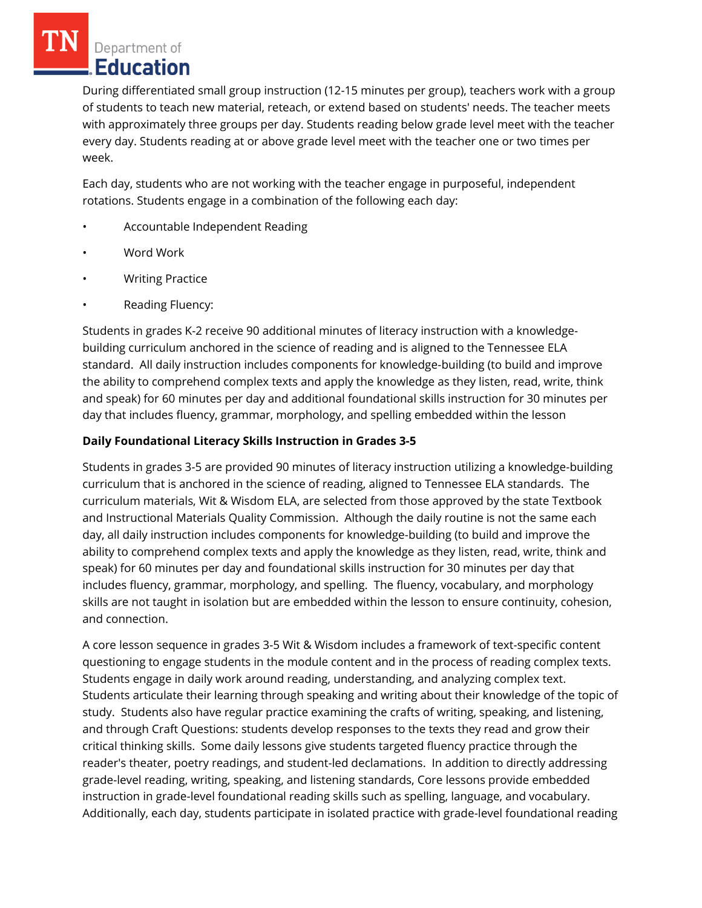Department of **Education** 

During differentiated small group instruction (12-15 minutes per group), teachers work with a group of students to teach new material, reteach, or extend based on students' needs. The teacher meets with approximately three groups per day. Students reading below grade level meet with the teacher every day. Students reading at or above grade level meet with the teacher one or two times per week.

Each day, students who are not working with the teacher engage in purposeful, independent rotations. Students engage in a combination of the following each day:

- Accountable Independent Reading
- Word Work
- Writing Practice
- Reading Fluency:

Students in grades K-2 receive 90 additional minutes of literacy instruction with a knowledgebuilding curriculum anchored in the science of reading and is aligned to the Tennessee ELA standard. All daily instruction includes components for knowledge-building (to build and improve the ability to comprehend complex texts and apply the knowledge as they listen, read, write, think and speak) for 60 minutes per day and additional foundational skills instruction for 30 minutes per day that includes fluency, grammar, morphology, and spelling embedded within the lesson

# **Daily Foundational Literacy Skills Instruction in Grades 3-5**

Students in grades 3-5 are provided 90 minutes of literacy instruction utilizing a knowledge-building curriculum that is anchored in the science of reading, aligned to Tennessee ELA standards. The curriculum materials, Wit & Wisdom ELA, are selected from those approved by the state Textbook and Instructional Materials Quality Commission. Although the daily routine is not the same each day, all daily instruction includes components for knowledge-building (to build and improve the ability to comprehend complex texts and apply the knowledge as they listen, read, write, think and speak) for 60 minutes per day and foundational skills instruction for 30 minutes per day that includes fluency, grammar, morphology, and spelling. The fluency, vocabulary, and morphology skills are not taught in isolation but are embedded within the lesson to ensure continuity, cohesion, and connection.

A core lesson sequence in grades 3-5 Wit & Wisdom includes a framework of text-specific content questioning to engage students in the module content and in the process of reading complex texts. Students engage in daily work around reading, understanding, and analyzing complex text. Students articulate their learning through speaking and writing about their knowledge of the topic of study. Students also have regular practice examining the crafts of writing, speaking, and listening, and through Craft Questions: students develop responses to the texts they read and grow their critical thinking skills. Some daily lessons give students targeted fluency practice through the reader's theater, poetry readings, and student-led declamations. In addition to directly addressing grade-level reading, writing, speaking, and listening standards, Core lessons provide embedded instruction in grade-level foundational reading skills such as spelling, language, and vocabulary. Additionally, each day, students participate in isolated practice with grade-level foundational reading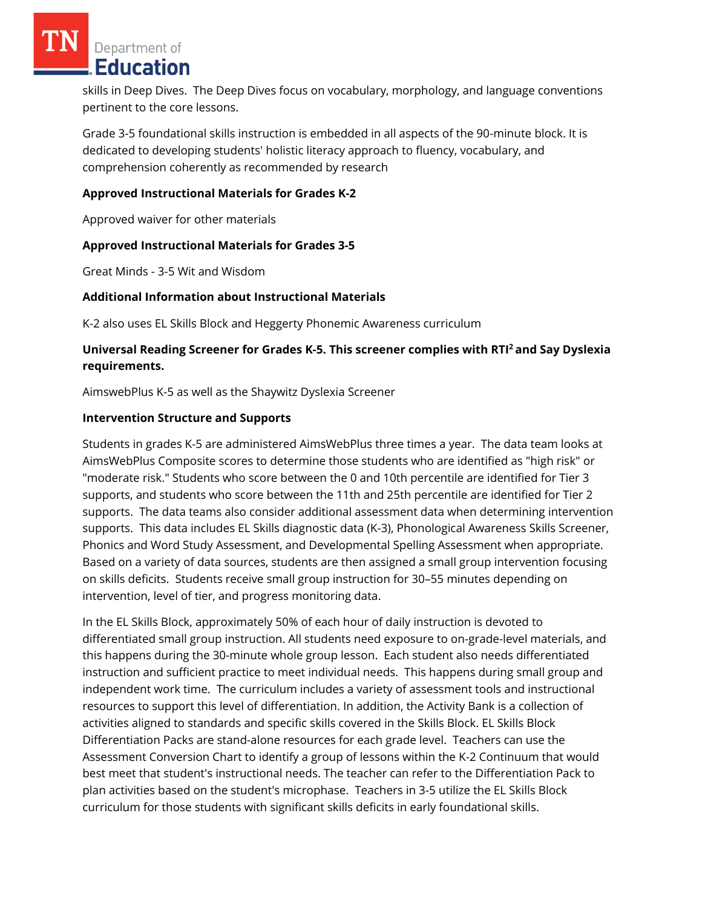Department of **Education** 

skills in Deep Dives. The Deep Dives focus on vocabulary, morphology, and language conventions pertinent to the core lessons.

Grade 3-5 foundational skills instruction is embedded in all aspects of the 90-minute block. It is dedicated to developing students' holistic literacy approach to fluency, vocabulary, and comprehension coherently as recommended by research

#### **Approved Instructional Materials for Grades K-2**

Approved waiver for other materials

#### **Approved Instructional Materials for Grades 3-5**

Great Minds - 3-5 Wit and Wisdom

#### **Additional Information about Instructional Materials**

K-2 also uses EL Skills Block and Heggerty Phonemic Awareness curriculum

## **Universal Reading Screener for Grades K-5. This screener complies with RTI<sup>2</sup>and Say Dyslexia requirements.**

AimswebPlus K-5 as well as the Shaywitz Dyslexia Screener

#### **Intervention Structure and Supports**

Students in grades K-5 are administered AimsWebPlus three times a year. The data team looks at AimsWebPlus Composite scores to determine those students who are identified as "high risk" or "moderate risk." Students who score between the 0 and 10th percentile are identified for Tier 3 supports, and students who score between the 11th and 25th percentile are identified for Tier 2 supports. The data teams also consider additional assessment data when determining intervention supports. This data includes EL Skills diagnostic data (K-3), Phonological Awareness Skills Screener, Phonics and Word Study Assessment, and Developmental Spelling Assessment when appropriate. Based on a variety of data sources, students are then assigned a small group intervention focusing on skills deficits. Students receive small group instruction for 30–55 minutes depending on intervention, level of tier, and progress monitoring data.

In the EL Skills Block, approximately 50% of each hour of daily instruction is devoted to differentiated small group instruction. All students need exposure to on-grade-level materials, and this happens during the 30-minute whole group lesson. Each student also needs differentiated instruction and sufficient practice to meet individual needs. This happens during small group and independent work time. The curriculum includes a variety of assessment tools and instructional resources to support this level of differentiation. In addition, the Activity Bank is a collection of activities aligned to standards and specific skills covered in the Skills Block. EL Skills Block Differentiation Packs are stand-alone resources for each grade level. Teachers can use the Assessment Conversion Chart to identify a group of lessons within the K-2 Continuum that would best meet that student's instructional needs. The teacher can refer to the Differentiation Pack to plan activities based on the student's microphase. Teachers in 3-5 utilize the EL Skills Block curriculum for those students with significant skills deficits in early foundational skills.